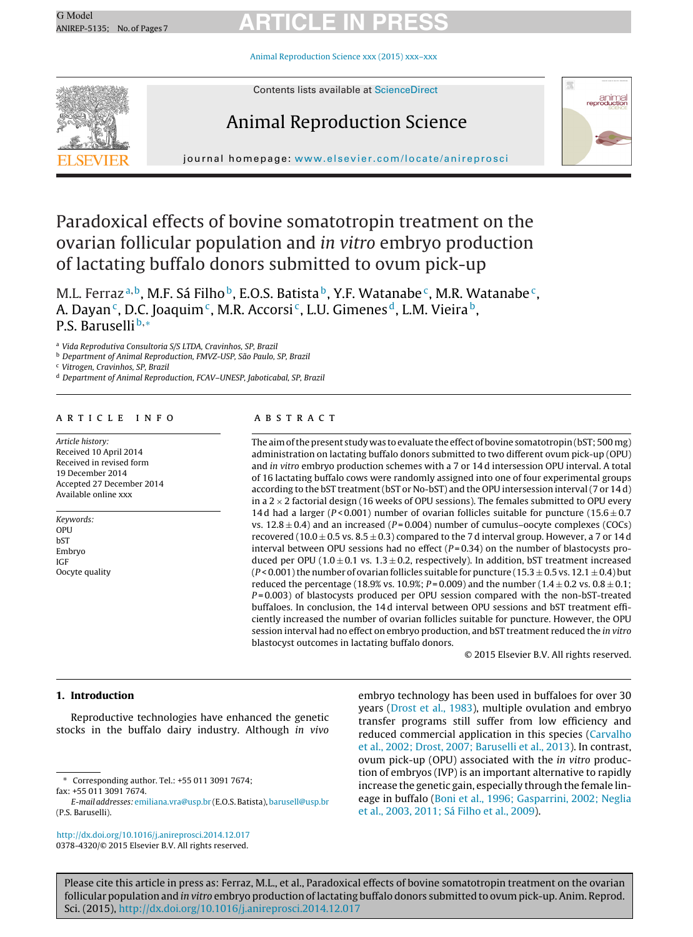Animal [Reproduction](dx.doi.org/10.1016/j.anireprosci.2014.12.017) Science xxx (2015) xxx–xxx



Contents lists available at [ScienceDirect](http://www.sciencedirect.com/science/journal/03784320)

# Animal Reproduction Science



journal homepage: [www.elsevier.com/locate/anireprosci](http://www.elsevier.com/locate/anireprosci)

# Paradoxical effects of bovine somatotropin treatment on the ovarian follicular population and in vitro embryo production of lactating buffalo donors submitted to ovum pick-up

M.L. Ferraz<sup>a,b</sup>, M.F. Sá Filho<sup>b</sup>, E.O.S. Batista<sup>b</sup>, Y.F. Watanabe<sup>c</sup>, M.R. Watanabe<sup>c</sup>, A. Dayan<sup>c</sup>, D.C. Joaquim<sup>c</sup>, M.R. Accorsi<sup>c</sup>, L.U. Gimenes<sup>d</sup>, L.M. Vieira<sup>b</sup>, P.S. Baruselli b,\*

<sup>a</sup> Vida Reprodutiva Consultoria S/S LTDA, Cravinhos, SP, Brazil

<sup>b</sup> Department of Animal Reproduction, FMVZ-USP, São Paulo, SP, Brazil

<sup>c</sup> Vitrogen, Cravinhos, SP, Brazil

<sup>d</sup> Department of Animal Reproduction, FCAV–UNESP, Jaboticabal, SP, Brazil

### a r t i c l e i n f o

Article history: Received 10 April 2014 Received in revised form 19 December 2014 Accepted 27 December 2014 Available online xxx

Keywords: **OPU** bST Embryo IGF Oocyte quality

### A B S T R A C T

The aim of the present study was to evaluate the effect of bovine somatotropin (bST; 500 mg) administration on lactating buffalo donors submitted to two different ovum pick-up (OPU) and in vitro embryo production schemes with a 7 or 14 d intersession OPU interval. A total of 16 lactating buffalo cows were randomly assigned into one of four experimental groups according to the bST treatment(bST or No-bST) and the OPU intersession interval(7 or 14 d) in a  $2 \times 2$  factorial design (16 weeks of OPU sessions). The females submitted to OPU every 14 d had a larger (P < 0.001) number of ovarian follicles suitable for puncture (15.6  $\pm$  0.7 vs.  $12.8 \pm 0.4$ ) and an increased (P=0.004) number of cumulus–oocyte complexes (COCs) recovered (10.0  $\pm$  0.5 vs. 8.5  $\pm$  0.3) compared to the 7 d interval group. However, a 7 or 14 d interval between OPU sessions had no effect  $(P=0.34)$  on the number of blastocysts produced per OPU ( $1.0 \pm 0.1$  vs.  $1.3 \pm 0.2$ , respectively). In addition, bST treatment increased  $(P< 0.001)$  the number of ovarian follicles suitable for puncture (15.3  $\pm$  0.5 vs. 12.1  $\pm$  0.4) but reduced the percentage (18.9% vs. 10.9%;  $P = 0.009$ ) and the number (1.4  $\pm$  0.2 vs. 0.8  $\pm$  0.1;  $P = 0.003$ ) of blastocysts produced per OPU session compared with the non-bST-treated buffaloes. In conclusion, the 14 d interval between OPU sessions and bST treatment efficiently increased the number of ovarian follicles suitable for puncture. However, the OPU session interval had no effect on embryo production, and bST treatment reduced the in vitro blastocyst outcomes in lactating buffalo donors.

© 2015 Elsevier B.V. All rights reserved.

## **1. Introduction**

Reproductive technologies have enhanced the genetic stocks in the buffalo dairy industry. Although in vivo

∗ Corresponding author. Tel.: +55 011 3091 7674; fax: +55 011 3091 7674.

[http://dx.doi.org/10.1016/j.anireprosci.2014.12.017](dx.doi.org/10.1016/j.anireprosci.2014.12.017) 0378-4320/© 2015 Elsevier B.V. All rights reserved.

embryo technology has been used in buffaloes for over 30 years [\(Drost](#page-5-0) et [al.,](#page-5-0) [1983\),](#page-5-0) multiple ovulation and embryo transfer programs still suffer from low efficiency and reduced commercial application in this species ([Carvalho](#page-5-0) et [al.,](#page-5-0) [2002;](#page-5-0) [Drost,](#page-5-0) [2007;](#page-5-0) [Baruselli](#page-5-0) et [al.,](#page-5-0) [2013\).](#page-5-0) In contrast, ovum pick-up (OPU) associated with the in vitro production of embryos (IVP) is an important alternative to rapidly increase the genetic gain, especially through the female lineage in buffalo ([Boni](#page-5-0) et [al.,](#page-5-0) [1996;](#page-5-0) [Gasparrini,](#page-5-0) [2002;](#page-5-0) [Neglia](#page-5-0) et [al.,](#page-5-0) [2003,](#page-5-0) [2011;](#page-5-0) [Sá](#page-5-0) [Filho](#page-5-0) et [al.,](#page-5-0) [2009\).](#page-5-0)

E-mail addresses: [emiliana.vra@usp.br](mailto:emiliana.vra@usp.br) (E.O.S. Batista), [barusell@usp.br](mailto:barusell@usp.br) (P.S. Baruselli).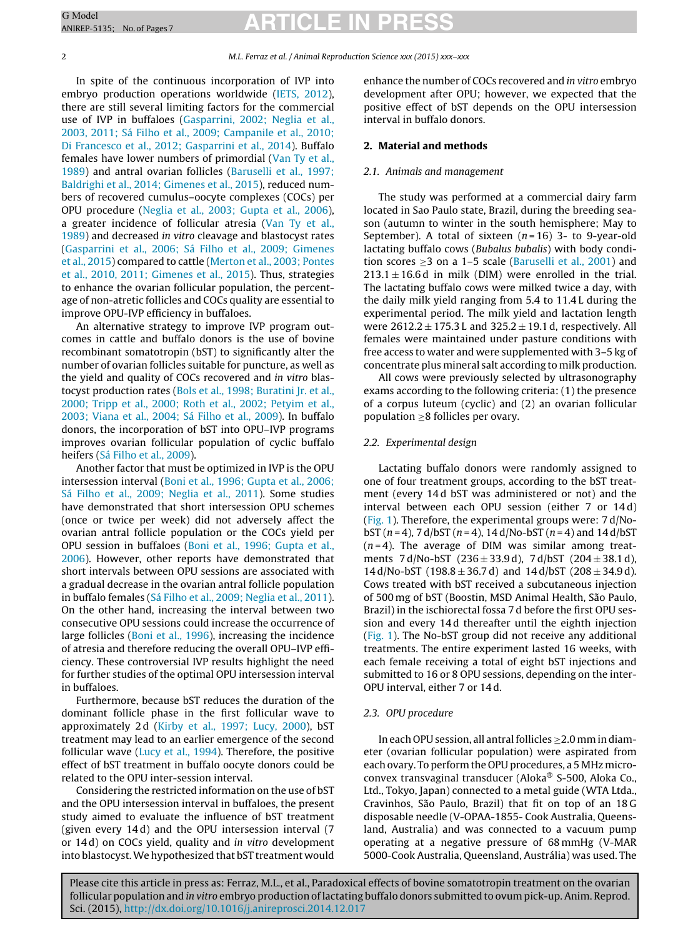### 2 M.L. Ferraz et al. / Animal Reproduction Science xxx (2015) xxx–xxx

In spite of the continuous incorporation of IVP into embryo production operations worldwide ([IETS,](#page-6-0) [2012\),](#page-6-0) there are still several limiting factors for the commercial use of IVP in buffaloes [\(Gasparrini,](#page-5-0) [2002;](#page-5-0) [Neglia](#page-5-0) et [al.,](#page-5-0) [2003,](#page-5-0) [2011;](#page-5-0) [Sá](#page-5-0) [Filho](#page-5-0) et [al.,](#page-5-0) [2009;](#page-5-0) [Campanile](#page-5-0) et [al.,](#page-5-0) [2010;](#page-5-0) [Di](#page-5-0) [Francesco](#page-5-0) et [al.,](#page-5-0) [2012;](#page-5-0) [Gasparrini](#page-5-0) et [al.,](#page-5-0) [2014\).](#page-5-0) Buffalo females have lower numbers of primordial [\(Van](#page-6-0) [Ty](#page-6-0) et [al.,](#page-6-0) [1989\)](#page-6-0) and antral ovarian follicles ([Baruselli](#page-5-0) et [al.,](#page-5-0) [1997;](#page-5-0) [Baldrighi](#page-5-0) et [al.,](#page-5-0) [2014;](#page-5-0) [Gimenes](#page-5-0) et [al.,](#page-5-0) [2015\),](#page-5-0) reduced numbers of recovered cumulus–oocyte complexes (COCs) per OPU procedure [\(Neglia](#page-6-0) et [al.,](#page-6-0) [2003;](#page-6-0) [Gupta](#page-6-0) et [al.,](#page-6-0) [2006\),](#page-6-0) a greater incidence of follicular atresia ([Van](#page-6-0) [Ty](#page-6-0) et [al.,](#page-6-0) [1989\)](#page-6-0) and decreased in vitro cleavage and blastocyst rates [\(Gasparrini](#page-5-0) et [al.,](#page-5-0) [2006;](#page-5-0) [Sá](#page-5-0) [Filho](#page-5-0) et [al.,](#page-5-0) [2009;](#page-5-0) [Gimenes](#page-5-0) et [al.,](#page-5-0) [2015\)](#page-5-0) compared to cattle ([Merton](#page-6-0) et [al.,](#page-6-0) [2003;](#page-6-0) [Pontes](#page-6-0) et [al.,](#page-6-0) [2010,](#page-6-0) [2011;](#page-6-0) [Gimenes](#page-6-0) et [al.,](#page-6-0) [2015\).](#page-6-0) Thus, strategies to enhance the ovarian follicular population, the percentage of non-atretic follicles and COCs quality are essential to improve OPU-IVP efficiency in buffaloes.

An alternative strategy to improve IVP program outcomes in cattle and buffalo donors is the use of bovine recombinant somatotropin (bST) to significantly alter the number of ovarian follicles suitable for puncture, as well as the yield and quality of COCs recovered and in vitro blastocyst production rates ([Bols](#page-5-0) et [al.,](#page-5-0) [1998;](#page-5-0) [Buratini](#page-5-0) [Jr.](#page-5-0) et [al.,](#page-5-0) [2000;](#page-5-0) [Tripp](#page-5-0) et [al.,](#page-5-0) [2000;](#page-5-0) [Roth](#page-5-0) et [al.,](#page-5-0) [2002;](#page-5-0) [Petyim](#page-5-0) et [al.,](#page-5-0) [2003;](#page-5-0) [Viana](#page-5-0) et [al.,](#page-5-0) [2004;](#page-5-0) [Sá](#page-5-0) [Filho](#page-5-0) et [al.,](#page-5-0) [2009\).](#page-5-0) In buffalo donors, the incorporation of bST into OPU–IVP programs improves ovarian follicular population of cyclic buffalo heifers [\(Sá](#page-6-0) [Filho](#page-6-0) et [al.,](#page-6-0) [2009\).](#page-6-0)

Another factor that must be optimized in IVP is the OPU intersession interval ([Boni](#page-5-0) et [al.,](#page-5-0) [1996;](#page-5-0) [Gupta](#page-5-0) et [al.,](#page-5-0) [2006;](#page-5-0) [Sá](#page-5-0) [Filho](#page-5-0) et [al.,](#page-5-0) [2009;](#page-5-0) [Neglia](#page-5-0) et [al.,](#page-5-0) [2011\).](#page-5-0) Some studies have demonstrated that short intersession OPU schemes (once or twice per week) did not adversely affect the ovarian antral follicle population or the COCs yield per OPU session in buffaloes [\(Boni](#page-5-0) et [al.,](#page-5-0) [1996;](#page-5-0) [Gupta](#page-5-0) et [al.,](#page-5-0) [2006\).](#page-5-0) However, other reports have demonstrated that short intervals between OPU sessions are associated with a gradual decrease in the ovarian antral follicle population in buffalo females ([Sá](#page-6-0) [Filho](#page-6-0) et [al.,](#page-6-0) [2009;](#page-6-0) [Neglia](#page-6-0) et [al.,](#page-6-0) [2011\).](#page-6-0) On the other hand, increasing the interval between two consecutive OPU sessions could increase the occurrence of large follicles [\(Boni](#page-5-0) et [al.,](#page-5-0) [1996\),](#page-5-0) increasing the incidence of atresia and therefore reducing the overall OPU–IVP efficiency. These controversial IVP results highlight the need for further studies of the optimal OPU intersession interval in buffaloes.

Furthermore, because bST reduces the duration of the dominant follicle phase in the first follicular wave to approximately 2d [\(Kirby](#page-6-0) et [al.,](#page-6-0) [1997;](#page-6-0) [Lucy,](#page-6-0) [2000\),](#page-6-0) bST treatment may lead to an earlier emergence of the second follicular wave [\(Lucy](#page-6-0) et [al.,](#page-6-0) [1994\).](#page-6-0) Therefore, the positive effect of bST treatment in buffalo oocyte donors could be related to the OPU inter-session interval.

Considering the restricted information on the use of bST and the OPU intersession interval in buffaloes, the present study aimed to evaluate the influence of bST treatment (given every 14 d) and the OPU intersession interval (7 or 14 d) on COCs yield, quality and in vitro development into blastocyst.We hypothesized that bST treatment would

enhance the number of COCs recovered and in vitro embryo development after OPU; however, we expected that the positive effect of bST depends on the OPU intersession interval in buffalo donors.

# **2. Material and methods**

### 2.1. Animals and management

The study was performed at a commercial dairy farm located in Sao Paulo state, Brazil, during the breeding season (autumn to winter in the south hemisphere; May to September). A total of sixteen  $(n=16)$  3- to 9-year-old lactating buffalo cows (Bubalus bubalis) with body condition scores  $\geq$ 3 on a 1–5 scale ([Baruselli](#page-5-0) et [al.,](#page-5-0) [2001\)](#page-5-0) and  $213.1 \pm 16.6$  d in milk (DIM) were enrolled in the trial. The lactating buffalo cows were milked twice a day, with the daily milk yield ranging from 5.4 to 11.4 L during the experimental period. The milk yield and lactation length were  $2612.2 \pm 175.3$  L and  $325.2 \pm 19.1$  d, respectively. All females were maintained under pasture conditions with free access to water and were supplemented with 3–5 kg of concentrate plus mineral salt according to milk production.

All cows were previously selected by ultrasonography exams according to the following criteria: (1) the presence of a corpus luteum (cyclic) and (2) an ovarian follicular population  $\geq$ 8 follicles per ovary.

#### 2.2. Experimental design

Lactating buffalo donors were randomly assigned to one of four treatment groups, according to the bST treatment (every 14 d bST was administered or not) and the interval between each OPU session (either 7 or 14 d) [\(Fig.](#page-2-0) 1). Therefore, the experimental groups were: 7 d/NobST  $(n = 4)$ , 7 d/bST  $(n = 4)$ , 14 d/No-bST  $(n = 4)$  and 14 d/bST  $(n=4)$ . The average of DIM was similar among treatments 7 d/No-bST (236  $\pm$  33.9 d), 7 d/bST (204  $\pm$  38.1 d), 14 d/No-bST (198.8  $\pm$  36.7 d) and 14 d/bST (208  $\pm$  34.9 d). Cows treated with bST received a subcutaneous injection of 500 mg of bST (Boostin, MSD Animal Health, São Paulo, Brazil) in the ischiorectal fossa 7 d before the first OPU session and every 14 d thereafter until the eighth injection [\(Fig.](#page-2-0) 1). The No-bST group did not receive any additional treatments. The entire experiment lasted 16 weeks, with each female receiving a total of eight bST injections and submitted to 16 or 8 OPU sessions, depending on the inter-OPU interval, either 7 or 14 d.

#### 2.3. OPU procedure

In each OPU session, all antral follicles > 2.0 mm in diameter (ovarian follicular population) were aspirated from each ovary. To perform the OPU procedures, a 5 MHz microconvex transvaginal transducer (Aloka® S-500, Aloka Co., Ltd., Tokyo, Japan) connected to a metal guide (WTA Ltda., Cravinhos, São Paulo, Brazil) that fit on top of an 18 G disposable needle (V-OPAA-1855- Cook Australia, Queensland, Australia) and was connected to a vacuum pump operating at a negative pressure of 68 mmHg (V-MAR 5000-Cook Australia, Queensland, Austrália) was used. The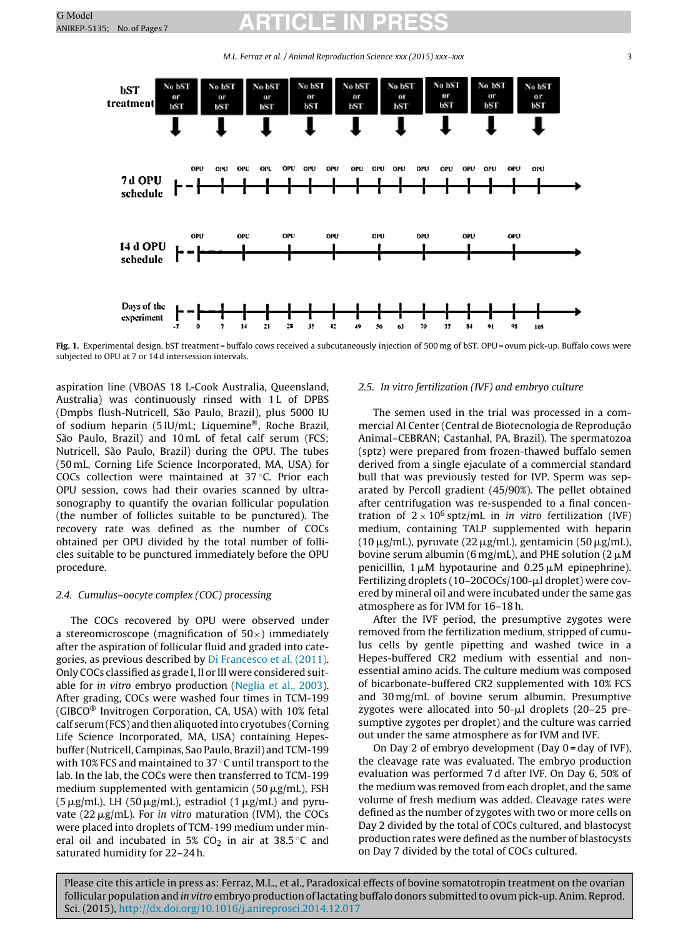M.L. Ferraz et al. / Animal Reproduction Science xxx (2015) xxx–xxx 3

<span id="page-2-0"></span>

**Fig. 1.** Experimental design. bST treatment = buffalo cows received a subcutaneously injection of 500 mg of bST. OPU = ovum pick-up. Buffalo cows were subjected to OPU at 7 or 14 d intersession intervals.

aspiration line (VBOAS 18 L-Cook Australia, Queensland, Australia) was continuously rinsed with 1L of DPBS (Dmpbs flush-Nutricell, São Paulo, Brazil), plus 5000 IU of sodium heparin (5 IU/mL; Liquemine®, Roche Brazil, São Paulo, Brazil) and 10 mL of fetal calf serum (FCS; Nutricell, São Paulo, Brazil) during the OPU. The tubes (50 mL, Corning Life Science Incorporated, MA, USA) for COCs collection were maintained at 37 ◦C. Prior each OPU session, cows had their ovaries scanned by ultrasonography to quantify the ovarian follicular population (the number of follicles suitable to be punctured). The recovery rate was defined as the number of COCs obtained per OPU divided by the total number of follicles suitable to be punctured immediately before the OPU procedure.

#### 2.4. Cumulus–oocyte complex (COC) processing

The COCs recovered by OPU were observed under a stereomicroscope (magnification of  $50\times$ ) immediately after the aspiration of follicular fluid and graded into categories, as previous described by [Di](#page-5-0) [Francesco](#page-5-0) et [al.](#page-5-0) [\(2011\).](#page-5-0) Only COCs classified as grade I, II or III were considered suitable for in vitro embryo production [\(Neglia](#page-6-0) et [al.,](#page-6-0) [2003\).](#page-6-0) After grading, COCs were washed four times in TCM-199 (GIBCO® Invitrogen Corporation, CA, USA) with 10% fetal calf serum(FCS) and thenaliquoted into cryotubes (Corning Life Science Incorporated, MA, USA) containing Hepesbuffer (Nutricell, Campinas, Sao Paulo, Brazil) and TCM-199 with 10% FCS and maintained to 37 ℃ until transport to the lab. In the lab, the COCs were then transferred to TCM-199 medium supplemented with gentamicin (50  $\mu$ g/mL), FSH  $(5\,\mathrm{\mu g/mL})$ , LH  $(50\,\mathrm{\mu g/mL})$ , estradiol  $(1\,\mathrm{\mu g/mL})$  and pyruvate (22  $\mu$ g/mL). For *in vitro* maturation (IVM), the COCs were placed into droplets of TCM-199 medium under mineral oil and incubated in 5%  $CO<sub>2</sub>$  in air at 38.5 °C and saturated humidity for 22–24 h.

### 2.5. In vitro fertilization (IVF) and embryo culture

The semen used in the trial was processed in a commercial AI Center (Central de Biotecnologia de Reprodução Animal–CEBRAN; Castanhal, PA, Brazil). The spermatozoa (sptz) were prepared from frozen-thawed buffalo semen derived from a single ejaculate of a commercial standard bull that was previously tested for IVP. Sperm was separated by Percoll gradient (45/90%). The pellet obtained after centrifugation was re-suspended to a final concentration of  $2 \times 10^6$  sptz/mL in *in vitro* fertilization (IVF) medium, containing TALP supplemented with heparin  $(10 \,\mathrm{\mu g/mL})$ , pyruvate  $(22 \,\mathrm{\mu g/mL})$ , gentamicin  $(50 \,\mathrm{\mu g/mL})$ , bovine serum albumin (6 mg/mL), and PHE solution (2  $\mu$ M penicillin,  $1 \mu M$  hypotaurine and 0.25  $\mu$ M epinephrine). Fertilizing droplets (10–20COCs/100-μl droplet) were covered by mineral oil and were incubated under the same gas atmosphere as for IVM for 16–18 h.

After the IVF period, the presumptive zygotes were removed from the fertilization medium, stripped of cumulus cells by gentle pipetting and washed twice in a Hepes-buffered CR2 medium with essential and nonessential amino acids. The culture medium was composed of bicarbonate-buffered CR2 supplemented with 10% FCS and 30 mg/mL of bovine serum albumin. Presumptive zygotes were allocated into  $50-\mu l$  droplets (20–25 presumptive zygotes per droplet) and the culture was carried out under the same atmosphere as for IVM and IVF.

On Day 2 of embryo development (Day 0 = day of IVF), the cleavage rate was evaluated. The embryo production evaluation was performed 7 d after IVF. On Day 6, 50% of the medium was removed from each droplet, and the same volume of fresh medium was added. Cleavage rates were defined as the number of zygotes with two or more cells on Day 2 divided by the total of COCs cultured, and blastocyst production rates were defined as the number of blastocysts on Day 7 divided by the total of COCs cultured.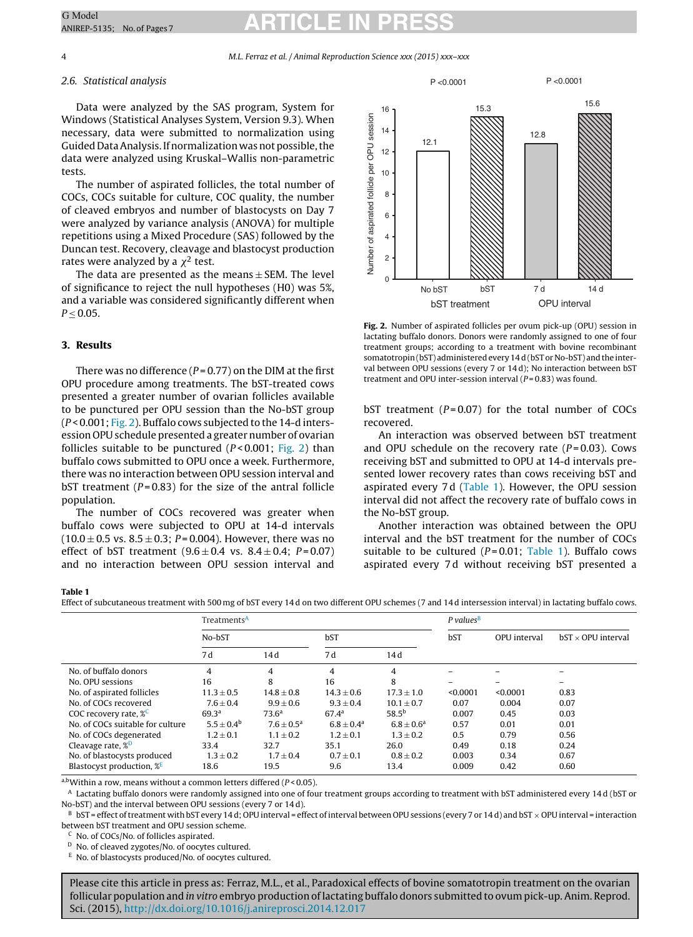4 M.L. Ferraz et al. / Animal Reproduction Science xxx (2015) xxx–xxx

## 2.6. Statistical analysis

Data were analyzed by the SAS program, System for Windows (Statistical Analyses System, Version 9.3). When necessary, data were submitted to normalization using Guided Data Analysis. If normalization was not possible, the data were analyzed using Kruskal–Wallis non-parametric tests.

The number of aspirated follicles, the total number of COCs, COCs suitable for culture, COC quality, the number of cleaved embryos and number of blastocysts on Day 7 were analyzed by variance analysis (ANOVA) for multiple repetitions using a Mixed Procedure (SAS) followed by the Duncan test. Recovery, cleavage and blastocyst production rates were analyzed by a  $\chi^2$  test.

The data are presented as the means  $\pm$  SEM. The level of significance to reject the null hypotheses (H0) was 5%, and a variable was considered significantly different when  $P \le 0.05$ .

# **3. Results**

There was no difference ( $P = 0.77$ ) on the DIM at the first OPU procedure among treatments. The bST-treated cows presented a greater number of ovarian follicles available to be punctured per OPU session than the No-bST group  $(P < 0.001; Fig. 2)$ . Buffalo cows subjected to the 14-d intersession OPU schedule presented a greater number of ovarian follicles suitable to be punctured  $(P< 0.001$ ; Fig. 2) than buffalo cows submitted to OPU once a week. Furthermore, there was no interaction between OPU session interval and bST treatment ( $P = 0.83$ ) for the size of the antral follicle population.

The number of COCs recovered was greater when buffalo cows were subjected to OPU at 14-d intervals  $(10.0 \pm 0.5 \text{ vs. } 8.5 \pm 0.3; P = 0.004)$ . However, there was no effect of bST treatment  $(9.6 \pm 0.4 \text{ vs. } 8.4 \pm 0.4; P = 0.07)$ and no interaction between OPU session interval and



**Fig. 2.** Number of aspirated follicles per ovum pick-up (OPU) session in lactating buffalo donors. Donors were randomly assigned to one of four treatment groups; according to a treatment with bovine recombinant somatotropin(bST) administered every 14 d (bST or No-bST) and the interval between OPU sessions (every 7 or 14 d); No interaction between bST treatment and OPU inter-session interval  $(P=0.83)$  was found.

bST treatment  $(P=0.07)$  for the total number of COCs recovered.

An interaction was observed between bST treatment and OPU schedule on the recovery rate  $(P=0.03)$ . Cows receiving bST and submitted to OPU at 14-d intervals presented lower recovery rates than cows receiving bST and aspirated every 7 d (Table 1). However, the OPU session interval did not affect the recovery rate of buffalo cows in the No-bST group.

Another interaction was obtained between the OPU interval and the bST treatment for the number of COCs suitable to be cultured  $(P=0.01;$  Table 1). Buffalo cows aspirated every 7 d without receiving bST presented a

# **Table 1**

Effect of subcutaneous treatment with 500 mg of bST every 14 d on two different OPU schemes (7 and 14 d intersession interval) in lactating buffalo cows.

|                                       | Treatments <sup>A</sup> |                          |                       |                       | $P$ values <sup>B</sup>  |                          |                           |
|---------------------------------------|-------------------------|--------------------------|-----------------------|-----------------------|--------------------------|--------------------------|---------------------------|
|                                       | No-bST                  |                          | bST                   |                       | bST                      | OPU interval             | $bST \times OPU$ interval |
|                                       | 7d                      | 14 d                     | 7 d                   | 14 d                  |                          |                          |                           |
| No. of buffalo donors                 | 4                       | 4                        | 4                     | 4                     |                          |                          |                           |
| No. OPU sessions                      | 16                      | 8                        | 16                    | 8                     | $\overline{\phantom{m}}$ | $\overline{\phantom{0}}$ | -                         |
| No. of aspirated follicles            | $11.3 \pm 0.5$          | $14.8 \pm 0.8$           | $14.3 \pm 0.6$        | $17.3 + 1.0$          | < 0.0001                 | < 0.0001                 | 0.83                      |
| No. of COCs recovered                 | $7.6 + 0.4$             | $9.9 + 0.6$              | $9.3 + 0.4$           | $10.1 + 0.7$          | 0.07                     | 0.004                    | 0.07                      |
| COC recovery rate, $%^{\mathbb{C}}$   | 69.3 <sup>a</sup>       | 73.6 <sup>a</sup>        | 67.4 <sup>a</sup>     | 58.5 <sup>b</sup>     | 0.007                    | 0.45                     | 0.03                      |
| No. of COCs suitable for culture      | $5.5 \pm 0.4^{\rm b}$   | $7.6 \pm 0.5^{\text{a}}$ | $6.8 \pm 0.4^{\rm a}$ | $6.8 \pm 0.6^{\rm a}$ | 0.57                     | 0.01                     | 0.01                      |
| No. of COCs degenerated               | $1.2 + 0.1$             | $1.1 \pm 0.2$            | $1.2 + 0.1$           | $1.3 + 0.2$           | 0.5                      | 0.79                     | 0.56                      |
| Cleavage rate, <sup>%D</sup>          | 33.4                    | 32.7                     | 35.1                  | 26.0                  | 0.49                     | 0.18                     | 0.24                      |
| No. of blastocysts produced           | $1.3 \pm 0.2$           | $1.7 \pm 0.4$            | $0.7 \pm 0.1$         | $0.8 \pm 0.2$         | 0.003                    | 0.34                     | 0.67                      |
| Blastocyst production, % <sup>E</sup> | 18.6                    | 19.5                     | 9.6                   | 13.4                  | 0.009                    | 0.42                     | 0.60                      |

a,bWithin a row, means without a common letters differed ( $P$  < 0.05).

<sup>A</sup> Lactating buffalo donors were randomly assigned into one of four treatment groups according to treatment with bST administered every 14 d (bST or No-bST) and the interval between OPU sessions (every 7 or 14 d).

 $^{\rm B}$  bST = effect of treatment with bST every 14 d; OPU interval = effect of interval between OPU sessions (every 7 or 14 d) and bST  $\times$  OPU interval = interaction between bST treatment and OPU session scheme.

No. of COCs/No. of follicles aspirated.

D No. of cleaved zygotes/No. of oocytes cultured.

 $E$  No. of blastocysts produced/No. of oocytes cultured.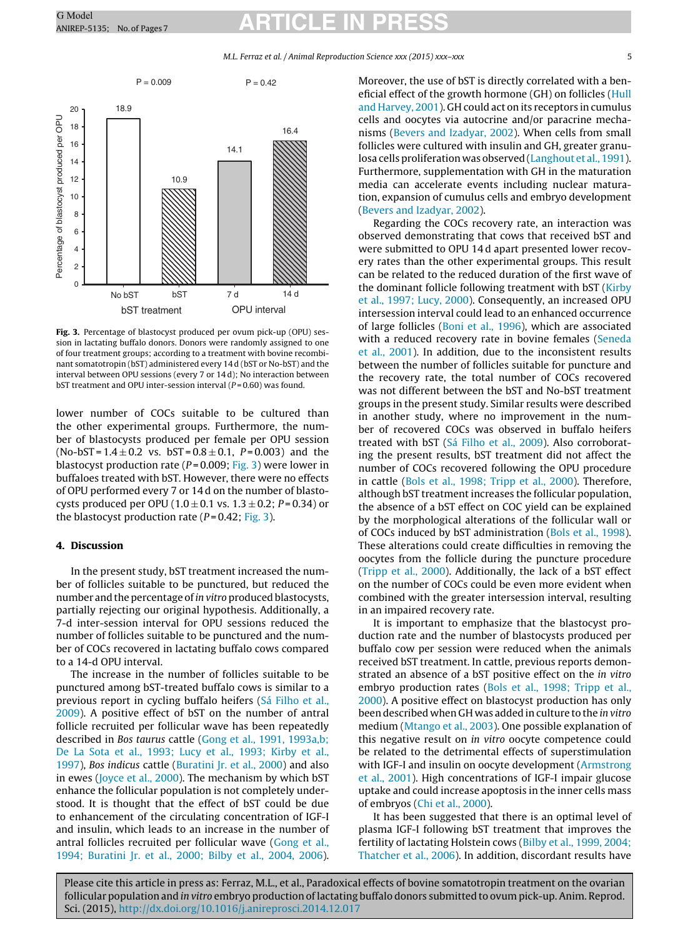M.L. Ferraz et al. / Animal Reproduction Science xxx (2015) xxx–xxx 5



**Fig. 3.** Percentage of blastocyst produced per ovum pick-up (OPU) session in lactating buffalo donors. Donors were randomly assigned to one of four treatment groups; according to a treatment with bovine recombinant somatotropin (bST) administered every 14 d (bST or No-bST) and the interval between OPU sessions (every 7 or 14 d); No interaction between bST treatment and OPU inter-session interval  $(P=0.60)$  was found.

lower number of COCs suitable to be cultured than the other experimental groups. Furthermore, the number of blastocysts produced per female per OPU session  $(No-bST = 1.4 \pm 0.2 \text{ vs. } bST = 0.8 \pm 0.1, P = 0.003)$  and the blastocyst production rate ( $P = 0.009$ ; Fig. 3) were lower in buffaloes treated with bST. However, there were no effects of OPU performed every 7 or 14 d on the number of blastocysts produced per OPU (1.0  $\pm$  0.1 vs. 1.3  $\pm$  0.2; P=0.34) or the blastocyst production rate ( $P = 0.42$ ; Fig. 3).

## **4. Discussion**

In the present study, bST treatment increased the number of follicles suitable to be punctured, but reduced the number and the percentage of in vitro produced blastocysts, partially rejecting our original hypothesis. Additionally, a 7-d inter-session interval for OPU sessions reduced the number of follicles suitable to be punctured and the number of COCs recovered in lactating buffalo cows compared to a 14-d OPU interval.

The increase in the number of follicles suitable to be punctured among bST-treated buffalo cows is similar to a previous report in cycling buffalo heifers [\(Sá](#page-6-0) [Filho](#page-6-0) et [al.,](#page-6-0) [2009\).](#page-6-0) A positive effect of bST on the number of antral follicle recruited per follicular wave has been repeatedly described in Bos taurus cattle [\(Gong](#page-6-0) et [al.,](#page-6-0) [1991,](#page-6-0) [1993a,b;](#page-6-0) [De](#page-6-0) [La](#page-6-0) [Sota](#page-6-0) et [al.,](#page-6-0) [1993;](#page-6-0) [Lucy](#page-6-0) et [al.,](#page-6-0) [1993;](#page-6-0) [Kirby](#page-6-0) et [al.,](#page-6-0) [1997\),](#page-6-0) Bos indicus cattle [\(Buratini](#page-5-0) [Jr.](#page-5-0) et [al.,](#page-5-0) [2000\)](#page-5-0) and also in ewes ([Joyce](#page-6-0) et [al.,](#page-6-0) [2000\).](#page-6-0) The mechanism by which bST enhance the follicular population is not completely understood. It is thought that the effect of bST could be due to enhancement of the circulating concentration of IGF-I and insulin, which leads to an increase in the number of antral follicles recruited per follicular wave [\(Gong](#page-6-0) et [al.,](#page-6-0) [1994;](#page-6-0) [Buratini](#page-6-0) [Jr.](#page-6-0) et [al.,](#page-6-0) [2000;](#page-6-0) [Bilby](#page-6-0) et [al.,](#page-6-0) [2004,](#page-6-0) [2006\).](#page-6-0) Moreover, the use of bST is directly correlated with a beneficial effect of the growth hormone (GH) on follicles [\(Hull](#page-6-0) [and](#page-6-0) [Harvey,](#page-6-0) [2001\).](#page-6-0) GH could act on its receptors in cumulus cells and oocytes via autocrine and/or paracrine mechanisms ([Bevers](#page-5-0) [and](#page-5-0) [Izadyar,](#page-5-0) [2002\).](#page-5-0) When cells from small follicles were cultured with insulin and GH, greater granu-losa cells proliferation was observed [\(Langhout](#page-6-0) et [al.,](#page-6-0) [1991\).](#page-6-0) Furthermore, supplementation with GH in the maturation media can accelerate events including nuclear maturation, expansion of cumulus cells and embryo development [\(Bevers](#page-5-0) [and](#page-5-0) [Izadyar,](#page-5-0) [2002\).](#page-5-0)

Regarding the COCs recovery rate, an interaction was observed demonstrating that cows that received bST and were submitted to OPU 14 d apart presented lower recovery rates than the other experimental groups. This result can be related to the reduced duration of the first wave of the dominant follicle following treatment with bST ([Kirby](#page-6-0) et [al.,](#page-6-0) [1997;](#page-6-0) [Lucy,](#page-6-0) [2000\).](#page-6-0) Consequently, an increased OPU intersession interval could lead to an enhanced occurrence of large follicles [\(Boni](#page-5-0) et [al.,](#page-5-0) [1996\),](#page-5-0) which are associated with a reduced recovery rate in bovine females ([Seneda](#page-6-0) et [al.,](#page-6-0) [2001\).](#page-6-0) In addition, due to the inconsistent results between the number of follicles suitable for puncture and the recovery rate, the total number of COCs recovered was not different between the bST and No-bST treatment groups in the present study. Similar results were described in another study, where no improvement in the number of recovered COCs was observed in buffalo heifers treated with bST ([Sá](#page-6-0) [Filho](#page-6-0) et [al.,](#page-6-0) [2009\).](#page-6-0) Also corroborating the present results, bST treatment did not affect the number of COCs recovered following the OPU procedure in cattle [\(Bols](#page-5-0) et [al.,](#page-5-0) [1998;](#page-5-0) [Tripp](#page-5-0) et [al.,](#page-5-0) [2000\).](#page-5-0) Therefore, although bST treatment increases the follicular population, the absence of a bST effect on COC yield can be explained by the morphological alterations of the follicular wall or of COCs induced by bST administration ([Bols](#page-5-0) et [al.,](#page-5-0) [1998\).](#page-5-0) These alterations could create difficulties in removing the oocytes from the follicle during the puncture procedure [\(Tripp](#page-6-0) et [al.,](#page-6-0) [2000\).](#page-6-0) Additionally, the lack of a bST effect on the number of COCs could be even more evident when combined with the greater intersession interval, resulting in an impaired recovery rate.

It is important to emphasize that the blastocyst production rate and the number of blastocysts produced per buffalo cow per session were reduced when the animals received bST treatment. In cattle, previous reports demonstrated an absence of a bST positive effect on the in vitro embryo production rates ([Bols](#page-5-0) et [al.,](#page-5-0) [1998;](#page-5-0) [Tripp](#page-5-0) et [al.,](#page-5-0) [2000\).](#page-5-0) A positive effect on blastocyst production has only been described when GH was added in culture to the in vitro medium [\(Mtango](#page-6-0) et [al.,](#page-6-0) [2003\).](#page-6-0) One possible explanation of this negative result on in vitro oocyte competence could be related to the detrimental effects of superstimulation with IGF-I and insulin on oocyte development [\(Armstrong](#page-5-0) et [al.,](#page-5-0) [2001\).](#page-5-0) High concentrations of IGF-I impair glucose uptake and could increase apoptosis in the inner cells mass of embryos ([Chi](#page-5-0) et [al.,](#page-5-0) [2000\).](#page-5-0)

It has been suggested that there is an optimal level of plasma IGF-I following bST treatment that improves the fertility of lactating Holstein cows [\(Bilby](#page-5-0) et [al.,](#page-5-0) [1999,](#page-5-0) [2004;](#page-5-0) [Thatcher](#page-5-0) et [al.,](#page-5-0) [2006\).](#page-5-0) In addition, discordant results have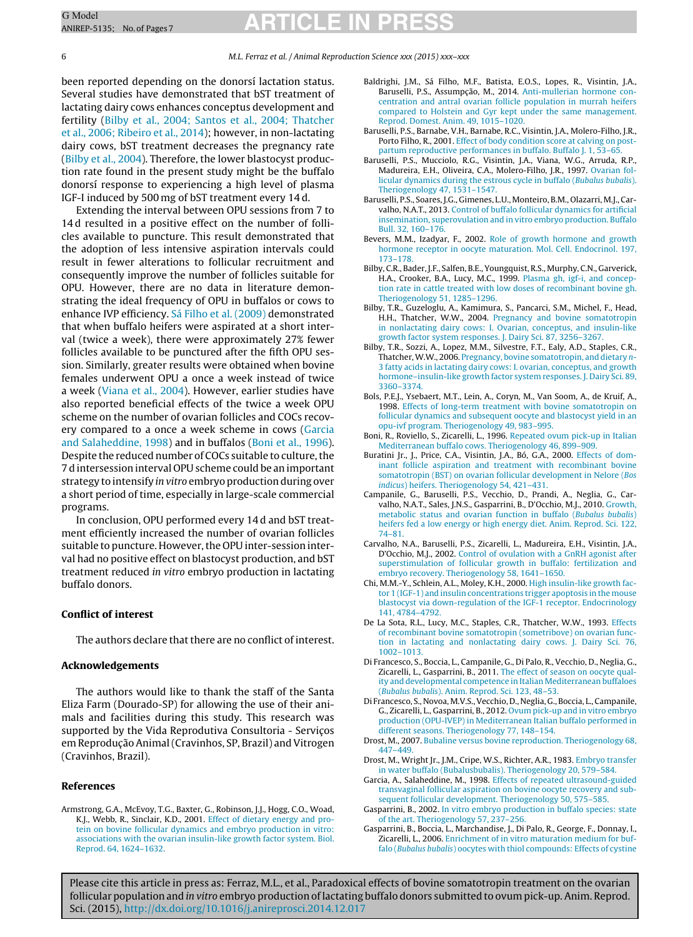#### <span id="page-5-0"></span>6 M.L. Ferraz et al. / Animal Reproduction Science xxx (2015) xxx–xxx

been reported depending on the donorsí lactation status. Several studies have demonstrated that bST treatment of lactating dairy cows enhances conceptus development and fertility (Bilby et al., 2004; Santos et al., 2004; Thatcher et al., 2006; Ribeiro et al., 2014); however, in non-lactating dairy cows, bST treatment decreases the pregnancy rate (Bilby et al., 2004). Therefore, the lower blastocyst production rate found in the present study might be the buffalo donorsı´ response to experiencing a high level of plasma IGF-I induced by 500 mg of bST treatment every 14 d.

Extending the interval between OPU sessions from 7 to 14d resulted in a positive effect on the number of follicles available to puncture. This result demonstrated that the adoption of less intensive aspiration intervals could result in fewer alterations to follicular recruitment and consequently improve the number of follicles suitable for OPU. However, there are no data in literature demonstrating the ideal frequency of OPU in buffalos or cows to enhance IVP efficiency. [Sá](#page-6-0) [Filho](#page-6-0) et [al.](#page-6-0) [\(2009\)](#page-6-0) demonstrated that when buffalo heifers were aspirated at a short interval (twice a week), there were approximately 27% fewer follicles available to be punctured after the fifth OPU session. Similarly, greater results were obtained when bovine females underwent OPU a once a week instead of twice a week [\(Viana](#page-6-0) et [al.,](#page-6-0) [2004\).](#page-6-0) However, earlier studies have also reported beneficial effects of the twice a week OPU scheme on the number of ovarian follicles and COCs recovery compared to a once a week scheme in cows (Garcia and Salaheddine, 1998) and in buffalos (Boni et al., 1996). Despite the reduced number of COCs suitable to culture, the 7 d intersession interval OPU scheme could be an important strategy to intensify in vitro embryo production during over a short period of time, especially in large-scale commercial programs.

In conclusion, OPU performed every 14 d and bST treatment efficiently increased the number of ovarian follicles suitable to puncture. However, the OPU inter-session interval had no positive effect on blastocyst production, and bST treatment reduced in vitro embryo production in lactating buffalo donors.

#### **Conflict of interest**

The authors declare that there are no conflict of interest.

### **Acknowledgements**

The authors would like to thank the staff of the Santa Eliza Farm (Dourado-SP) for allowing the use of their animals and facilities during this study. This research was supported by the Vida Reprodutiva Consultoria - Serviços em Reprodução Animal (Cravinhos, SP, Brazil) and Vitrogen (Cravinhos, Brazil).

### **References**

- Baldrighi, J.M., Sá Filho, M.F., Batista, E.O.S., Lopes, R., Visintin, J.A., Baruselli, P.S., Assumpção, M., 2014. [Anti-mullerian](http://refhub.elsevier.com/S0378-4320(15)00002-0/sbref0010) [hormone](http://refhub.elsevier.com/S0378-4320(15)00002-0/sbref0010) [con](http://refhub.elsevier.com/S0378-4320(15)00002-0/sbref0010)[centration](http://refhub.elsevier.com/S0378-4320(15)00002-0/sbref0010) [and](http://refhub.elsevier.com/S0378-4320(15)00002-0/sbref0010) [antral](http://refhub.elsevier.com/S0378-4320(15)00002-0/sbref0010) [ovarian](http://refhub.elsevier.com/S0378-4320(15)00002-0/sbref0010) [follicle](http://refhub.elsevier.com/S0378-4320(15)00002-0/sbref0010) [population](http://refhub.elsevier.com/S0378-4320(15)00002-0/sbref0010) [in](http://refhub.elsevier.com/S0378-4320(15)00002-0/sbref0010) [murrah](http://refhub.elsevier.com/S0378-4320(15)00002-0/sbref0010) [heifers](http://refhub.elsevier.com/S0378-4320(15)00002-0/sbref0010) [compared](http://refhub.elsevier.com/S0378-4320(15)00002-0/sbref0010) [to](http://refhub.elsevier.com/S0378-4320(15)00002-0/sbref0010) [Holstein](http://refhub.elsevier.com/S0378-4320(15)00002-0/sbref0010) [and](http://refhub.elsevier.com/S0378-4320(15)00002-0/sbref0010) [Gyr](http://refhub.elsevier.com/S0378-4320(15)00002-0/sbref0010) [kept](http://refhub.elsevier.com/S0378-4320(15)00002-0/sbref0010) [under](http://refhub.elsevier.com/S0378-4320(15)00002-0/sbref0010) [the](http://refhub.elsevier.com/S0378-4320(15)00002-0/sbref0010) [same](http://refhub.elsevier.com/S0378-4320(15)00002-0/sbref0010) [management.](http://refhub.elsevier.com/S0378-4320(15)00002-0/sbref0010) [Reprod.](http://refhub.elsevier.com/S0378-4320(15)00002-0/sbref0010) [Domest.](http://refhub.elsevier.com/S0378-4320(15)00002-0/sbref0010) [Anim.](http://refhub.elsevier.com/S0378-4320(15)00002-0/sbref0010) [49,](http://refhub.elsevier.com/S0378-4320(15)00002-0/sbref0010) [1015](http://refhub.elsevier.com/S0378-4320(15)00002-0/sbref0010)–[1020.](http://refhub.elsevier.com/S0378-4320(15)00002-0/sbref0010)
- Baruselli, P.S., Barnabe, V.H., Barnabe, R.C., Visintin, J.A., Molero-Filho, J.R., Porto Filho, R., 2001. [Effect](http://refhub.elsevier.com/S0378-4320(15)00002-0/sbref0015) [of](http://refhub.elsevier.com/S0378-4320(15)00002-0/sbref0015) [body](http://refhub.elsevier.com/S0378-4320(15)00002-0/sbref0015) [condition](http://refhub.elsevier.com/S0378-4320(15)00002-0/sbref0015) [score](http://refhub.elsevier.com/S0378-4320(15)00002-0/sbref0015) [at](http://refhub.elsevier.com/S0378-4320(15)00002-0/sbref0015) [calving](http://refhub.elsevier.com/S0378-4320(15)00002-0/sbref0015) [on](http://refhub.elsevier.com/S0378-4320(15)00002-0/sbref0015) [post](http://refhub.elsevier.com/S0378-4320(15)00002-0/sbref0015)[partum](http://refhub.elsevier.com/S0378-4320(15)00002-0/sbref0015) [reproductive](http://refhub.elsevier.com/S0378-4320(15)00002-0/sbref0015) [performances](http://refhub.elsevier.com/S0378-4320(15)00002-0/sbref0015) [in](http://refhub.elsevier.com/S0378-4320(15)00002-0/sbref0015) [buffalo.](http://refhub.elsevier.com/S0378-4320(15)00002-0/sbref0015) [Buffalo](http://refhub.elsevier.com/S0378-4320(15)00002-0/sbref0015) [J.](http://refhub.elsevier.com/S0378-4320(15)00002-0/sbref0015) [1,](http://refhub.elsevier.com/S0378-4320(15)00002-0/sbref0015) [53–65.](http://refhub.elsevier.com/S0378-4320(15)00002-0/sbref0015)
- Baruselli, P.S., Mucciolo, R.G., Visintin, J.A., Viana, W.G., Arruda, R.P., Madureira, E.H., Oliveira, C.A., Molero-Filho, J.R., 1997. [Ovarian](http://refhub.elsevier.com/S0378-4320(15)00002-0/sbref0020) [fol](http://refhub.elsevier.com/S0378-4320(15)00002-0/sbref0020)[licular](http://refhub.elsevier.com/S0378-4320(15)00002-0/sbref0020) [dynamics](http://refhub.elsevier.com/S0378-4320(15)00002-0/sbref0020) [during](http://refhub.elsevier.com/S0378-4320(15)00002-0/sbref0020) [the](http://refhub.elsevier.com/S0378-4320(15)00002-0/sbref0020) [estrous](http://refhub.elsevier.com/S0378-4320(15)00002-0/sbref0020) [cycle](http://refhub.elsevier.com/S0378-4320(15)00002-0/sbref0020) [in](http://refhub.elsevier.com/S0378-4320(15)00002-0/sbref0020) [buffalo](http://refhub.elsevier.com/S0378-4320(15)00002-0/sbref0020) [\(](http://refhub.elsevier.com/S0378-4320(15)00002-0/sbref0020)[Bubalus](http://refhub.elsevier.com/S0378-4320(15)00002-0/sbref0020) [bubalis](http://refhub.elsevier.com/S0378-4320(15)00002-0/sbref0020)[\).](http://refhub.elsevier.com/S0378-4320(15)00002-0/sbref0020) [Theriogenology](http://refhub.elsevier.com/S0378-4320(15)00002-0/sbref0020) [47,](http://refhub.elsevier.com/S0378-4320(15)00002-0/sbref0020) [1531–1547.](http://refhub.elsevier.com/S0378-4320(15)00002-0/sbref0020)
- Baruselli, P.S., Soares, J.G., Gimenes, L.U., Monteiro, B.M., Olazarri, M.J., Carvalho, N.A.T., 2013. [Control](http://refhub.elsevier.com/S0378-4320(15)00002-0/sbref0025) [of](http://refhub.elsevier.com/S0378-4320(15)00002-0/sbref0025) [buffalo](http://refhub.elsevier.com/S0378-4320(15)00002-0/sbref0025) [follicular](http://refhub.elsevier.com/S0378-4320(15)00002-0/sbref0025) [dynamics](http://refhub.elsevier.com/S0378-4320(15)00002-0/sbref0025) [for](http://refhub.elsevier.com/S0378-4320(15)00002-0/sbref0025) [artificial](http://refhub.elsevier.com/S0378-4320(15)00002-0/sbref0025) [insemination,](http://refhub.elsevier.com/S0378-4320(15)00002-0/sbref0025) [superovulation](http://refhub.elsevier.com/S0378-4320(15)00002-0/sbref0025) [and](http://refhub.elsevier.com/S0378-4320(15)00002-0/sbref0025) [in](http://refhub.elsevier.com/S0378-4320(15)00002-0/sbref0025) [vitro](http://refhub.elsevier.com/S0378-4320(15)00002-0/sbref0025) [embryo](http://refhub.elsevier.com/S0378-4320(15)00002-0/sbref0025) [production.](http://refhub.elsevier.com/S0378-4320(15)00002-0/sbref0025) [Buffalo](http://refhub.elsevier.com/S0378-4320(15)00002-0/sbref0025) [Bull.](http://refhub.elsevier.com/S0378-4320(15)00002-0/sbref0025) [32,](http://refhub.elsevier.com/S0378-4320(15)00002-0/sbref0025) [160–176.](http://refhub.elsevier.com/S0378-4320(15)00002-0/sbref0025)
- Bevers, M.M., Izadyar, F., 2002. [Role](http://refhub.elsevier.com/S0378-4320(15)00002-0/sbref0030) [of](http://refhub.elsevier.com/S0378-4320(15)00002-0/sbref0030) [growth](http://refhub.elsevier.com/S0378-4320(15)00002-0/sbref0030) [hormone](http://refhub.elsevier.com/S0378-4320(15)00002-0/sbref0030) [and](http://refhub.elsevier.com/S0378-4320(15)00002-0/sbref0030) [growth](http://refhub.elsevier.com/S0378-4320(15)00002-0/sbref0030) [hormone](http://refhub.elsevier.com/S0378-4320(15)00002-0/sbref0030) [receptor](http://refhub.elsevier.com/S0378-4320(15)00002-0/sbref0030) [in](http://refhub.elsevier.com/S0378-4320(15)00002-0/sbref0030) [oocyte](http://refhub.elsevier.com/S0378-4320(15)00002-0/sbref0030) [maturation.](http://refhub.elsevier.com/S0378-4320(15)00002-0/sbref0030) [Mol.](http://refhub.elsevier.com/S0378-4320(15)00002-0/sbref0030) [Cell.](http://refhub.elsevier.com/S0378-4320(15)00002-0/sbref0030) [Endocrinol.](http://refhub.elsevier.com/S0378-4320(15)00002-0/sbref0030) [197,](http://refhub.elsevier.com/S0378-4320(15)00002-0/sbref0030) [173–178.](http://refhub.elsevier.com/S0378-4320(15)00002-0/sbref0030)
- Bilby, C.R., Bader, J.F., Salfen, B.E., Youngquist, R.S., Murphy, C.N., Garverick, H.A., Crooker, B.A., Lucy, M.C., 1999. [Plasma](http://refhub.elsevier.com/S0378-4320(15)00002-0/sbref0035) [gh,](http://refhub.elsevier.com/S0378-4320(15)00002-0/sbref0035) [igf-i,](http://refhub.elsevier.com/S0378-4320(15)00002-0/sbref0035) [and](http://refhub.elsevier.com/S0378-4320(15)00002-0/sbref0035) [concep](http://refhub.elsevier.com/S0378-4320(15)00002-0/sbref0035)[tion](http://refhub.elsevier.com/S0378-4320(15)00002-0/sbref0035) [rate](http://refhub.elsevier.com/S0378-4320(15)00002-0/sbref0035) [in](http://refhub.elsevier.com/S0378-4320(15)00002-0/sbref0035) [cattle](http://refhub.elsevier.com/S0378-4320(15)00002-0/sbref0035) [treated](http://refhub.elsevier.com/S0378-4320(15)00002-0/sbref0035) [with](http://refhub.elsevier.com/S0378-4320(15)00002-0/sbref0035) [low](http://refhub.elsevier.com/S0378-4320(15)00002-0/sbref0035) [doses](http://refhub.elsevier.com/S0378-4320(15)00002-0/sbref0035) [of](http://refhub.elsevier.com/S0378-4320(15)00002-0/sbref0035) [recombinant](http://refhub.elsevier.com/S0378-4320(15)00002-0/sbref0035) [bovine](http://refhub.elsevier.com/S0378-4320(15)00002-0/sbref0035) [gh.](http://refhub.elsevier.com/S0378-4320(15)00002-0/sbref0035) [Theriogenology](http://refhub.elsevier.com/S0378-4320(15)00002-0/sbref0035) [51,](http://refhub.elsevier.com/S0378-4320(15)00002-0/sbref0035) [1285](http://refhub.elsevier.com/S0378-4320(15)00002-0/sbref0035)–[1296.](http://refhub.elsevier.com/S0378-4320(15)00002-0/sbref0035)
- Bilby, T.R., Guzeloglu, A., Kamimura, S., Pancarci, S.M., Michel, F., Head, H.H., Thatcher, W.W., 2004. [Pregnancy](http://refhub.elsevier.com/S0378-4320(15)00002-0/sbref0040) [and](http://refhub.elsevier.com/S0378-4320(15)00002-0/sbref0040) [bovine](http://refhub.elsevier.com/S0378-4320(15)00002-0/sbref0040) [somatotropin](http://refhub.elsevier.com/S0378-4320(15)00002-0/sbref0040) [in](http://refhub.elsevier.com/S0378-4320(15)00002-0/sbref0040) [nonlactating](http://refhub.elsevier.com/S0378-4320(15)00002-0/sbref0040) [dairy](http://refhub.elsevier.com/S0378-4320(15)00002-0/sbref0040) [cows:](http://refhub.elsevier.com/S0378-4320(15)00002-0/sbref0040) [I.](http://refhub.elsevier.com/S0378-4320(15)00002-0/sbref0040) [Ovarian,](http://refhub.elsevier.com/S0378-4320(15)00002-0/sbref0040) [conceptus,](http://refhub.elsevier.com/S0378-4320(15)00002-0/sbref0040) [and](http://refhub.elsevier.com/S0378-4320(15)00002-0/sbref0040) [insulin-like](http://refhub.elsevier.com/S0378-4320(15)00002-0/sbref0040) [growth](http://refhub.elsevier.com/S0378-4320(15)00002-0/sbref0040) [factor](http://refhub.elsevier.com/S0378-4320(15)00002-0/sbref0040) [system](http://refhub.elsevier.com/S0378-4320(15)00002-0/sbref0040) [responses.](http://refhub.elsevier.com/S0378-4320(15)00002-0/sbref0040) [J.](http://refhub.elsevier.com/S0378-4320(15)00002-0/sbref0040) [Dairy](http://refhub.elsevier.com/S0378-4320(15)00002-0/sbref0040) [Sci.](http://refhub.elsevier.com/S0378-4320(15)00002-0/sbref0040) [87,](http://refhub.elsevier.com/S0378-4320(15)00002-0/sbref0040) [3256](http://refhub.elsevier.com/S0378-4320(15)00002-0/sbref0040)–[3267.](http://refhub.elsevier.com/S0378-4320(15)00002-0/sbref0040)
- Bilby, T.R., Sozzi, A., Lopez, M.M., Silvestre, F.T., Ealy, A.D., Staples, C.R., Thatcher, W.W., 2006. [Pregnancy,](http://refhub.elsevier.com/S0378-4320(15)00002-0/sbref0045) [bovine](http://refhub.elsevier.com/S0378-4320(15)00002-0/sbref0045) [somatotropin,](http://refhub.elsevier.com/S0378-4320(15)00002-0/sbref0045) [and](http://refhub.elsevier.com/S0378-4320(15)00002-0/sbref0045) [dietary](http://refhub.elsevier.com/S0378-4320(15)00002-0/sbref0045) [n](http://refhub.elsevier.com/S0378-4320(15)00002-0/sbref0045)-[3](http://refhub.elsevier.com/S0378-4320(15)00002-0/sbref0045) [fatty](http://refhub.elsevier.com/S0378-4320(15)00002-0/sbref0045) [acids](http://refhub.elsevier.com/S0378-4320(15)00002-0/sbref0045) [in](http://refhub.elsevier.com/S0378-4320(15)00002-0/sbref0045) [lactating](http://refhub.elsevier.com/S0378-4320(15)00002-0/sbref0045) [dairy](http://refhub.elsevier.com/S0378-4320(15)00002-0/sbref0045) [cows:](http://refhub.elsevier.com/S0378-4320(15)00002-0/sbref0045) [I.](http://refhub.elsevier.com/S0378-4320(15)00002-0/sbref0045) [ovarian,](http://refhub.elsevier.com/S0378-4320(15)00002-0/sbref0045) [conceptus,](http://refhub.elsevier.com/S0378-4320(15)00002-0/sbref0045) [and](http://refhub.elsevier.com/S0378-4320(15)00002-0/sbref0045) [growth](http://refhub.elsevier.com/S0378-4320(15)00002-0/sbref0045) [hormone–insulin-like](http://refhub.elsevier.com/S0378-4320(15)00002-0/sbref0045) [growth](http://refhub.elsevier.com/S0378-4320(15)00002-0/sbref0045) [factor](http://refhub.elsevier.com/S0378-4320(15)00002-0/sbref0045) [system](http://refhub.elsevier.com/S0378-4320(15)00002-0/sbref0045) [responses.](http://refhub.elsevier.com/S0378-4320(15)00002-0/sbref0045) [J.](http://refhub.elsevier.com/S0378-4320(15)00002-0/sbref0045) [Dairy](http://refhub.elsevier.com/S0378-4320(15)00002-0/sbref0045) [Sci.](http://refhub.elsevier.com/S0378-4320(15)00002-0/sbref0045) [89,](http://refhub.elsevier.com/S0378-4320(15)00002-0/sbref0045) [3360](http://refhub.elsevier.com/S0378-4320(15)00002-0/sbref0045)–[3374.](http://refhub.elsevier.com/S0378-4320(15)00002-0/sbref0045)
- Bols, P.E.J., Ysebaert, M.T., Lein, A., Coryn, M., Van Soom, A., de Kruif, A., 1998. [Effects](http://refhub.elsevier.com/S0378-4320(15)00002-0/sbref0050) [of](http://refhub.elsevier.com/S0378-4320(15)00002-0/sbref0050) [long-term](http://refhub.elsevier.com/S0378-4320(15)00002-0/sbref0050) [treatment](http://refhub.elsevier.com/S0378-4320(15)00002-0/sbref0050) [with](http://refhub.elsevier.com/S0378-4320(15)00002-0/sbref0050) [bovine](http://refhub.elsevier.com/S0378-4320(15)00002-0/sbref0050) [somatotropin](http://refhub.elsevier.com/S0378-4320(15)00002-0/sbref0050) [on](http://refhub.elsevier.com/S0378-4320(15)00002-0/sbref0050) [follicular](http://refhub.elsevier.com/S0378-4320(15)00002-0/sbref0050) [dynamics](http://refhub.elsevier.com/S0378-4320(15)00002-0/sbref0050) [and](http://refhub.elsevier.com/S0378-4320(15)00002-0/sbref0050) [subsequent](http://refhub.elsevier.com/S0378-4320(15)00002-0/sbref0050) [oocyte](http://refhub.elsevier.com/S0378-4320(15)00002-0/sbref0050) [and](http://refhub.elsevier.com/S0378-4320(15)00002-0/sbref0050) [blastocyst](http://refhub.elsevier.com/S0378-4320(15)00002-0/sbref0050) [yield](http://refhub.elsevier.com/S0378-4320(15)00002-0/sbref0050) [in](http://refhub.elsevier.com/S0378-4320(15)00002-0/sbref0050) [an](http://refhub.elsevier.com/S0378-4320(15)00002-0/sbref0050) [opu-ivf](http://refhub.elsevier.com/S0378-4320(15)00002-0/sbref0050) [program.](http://refhub.elsevier.com/S0378-4320(15)00002-0/sbref0050) [Theriogenology](http://refhub.elsevier.com/S0378-4320(15)00002-0/sbref0050) [49,](http://refhub.elsevier.com/S0378-4320(15)00002-0/sbref0050) [983–995.](http://refhub.elsevier.com/S0378-4320(15)00002-0/sbref0050)
- Boni, R., Roviello, S., Zicarelli, L., 1996. [Repeated](http://refhub.elsevier.com/S0378-4320(15)00002-0/sbref0055) [ovum](http://refhub.elsevier.com/S0378-4320(15)00002-0/sbref0055) [pick-up](http://refhub.elsevier.com/S0378-4320(15)00002-0/sbref0055) [in](http://refhub.elsevier.com/S0378-4320(15)00002-0/sbref0055) [Italian](http://refhub.elsevier.com/S0378-4320(15)00002-0/sbref0055) [Mediterranean](http://refhub.elsevier.com/S0378-4320(15)00002-0/sbref0055) [buffalo](http://refhub.elsevier.com/S0378-4320(15)00002-0/sbref0055) [cows.](http://refhub.elsevier.com/S0378-4320(15)00002-0/sbref0055) [Theriogenology](http://refhub.elsevier.com/S0378-4320(15)00002-0/sbref0055) [46,](http://refhub.elsevier.com/S0378-4320(15)00002-0/sbref0055) [899](http://refhub.elsevier.com/S0378-4320(15)00002-0/sbref0055)–[909.](http://refhub.elsevier.com/S0378-4320(15)00002-0/sbref0055)
- Buratini Jr., J., Price, C.A., Visintin, J.A., Bó, G.A., 2000. [Effects](http://refhub.elsevier.com/S0378-4320(15)00002-0/sbref0060) [of](http://refhub.elsevier.com/S0378-4320(15)00002-0/sbref0060) [dom](http://refhub.elsevier.com/S0378-4320(15)00002-0/sbref0060)[inant](http://refhub.elsevier.com/S0378-4320(15)00002-0/sbref0060) [follicle](http://refhub.elsevier.com/S0378-4320(15)00002-0/sbref0060) [aspiration](http://refhub.elsevier.com/S0378-4320(15)00002-0/sbref0060) [and](http://refhub.elsevier.com/S0378-4320(15)00002-0/sbref0060) [treatment](http://refhub.elsevier.com/S0378-4320(15)00002-0/sbref0060) [with](http://refhub.elsevier.com/S0378-4320(15)00002-0/sbref0060) [recombinant](http://refhub.elsevier.com/S0378-4320(15)00002-0/sbref0060) [bovine](http://refhub.elsevier.com/S0378-4320(15)00002-0/sbref0060) [somatotropin](http://refhub.elsevier.com/S0378-4320(15)00002-0/sbref0060) [\(BST\)](http://refhub.elsevier.com/S0378-4320(15)00002-0/sbref0060) [on](http://refhub.elsevier.com/S0378-4320(15)00002-0/sbref0060) [ovarian](http://refhub.elsevier.com/S0378-4320(15)00002-0/sbref0060) [follicular](http://refhub.elsevier.com/S0378-4320(15)00002-0/sbref0060) [development](http://refhub.elsevier.com/S0378-4320(15)00002-0/sbref0060) [in](http://refhub.elsevier.com/S0378-4320(15)00002-0/sbref0060) [Nelore](http://refhub.elsevier.com/S0378-4320(15)00002-0/sbref0060) [\(](http://refhub.elsevier.com/S0378-4320(15)00002-0/sbref0060)[Bos](http://refhub.elsevier.com/S0378-4320(15)00002-0/sbref0060) [indicus](http://refhub.elsevier.com/S0378-4320(15)00002-0/sbref0060)[\)](http://refhub.elsevier.com/S0378-4320(15)00002-0/sbref0060) [heifers.](http://refhub.elsevier.com/S0378-4320(15)00002-0/sbref0060) [Theriogenology](http://refhub.elsevier.com/S0378-4320(15)00002-0/sbref0060) [54,](http://refhub.elsevier.com/S0378-4320(15)00002-0/sbref0060) [421–431.](http://refhub.elsevier.com/S0378-4320(15)00002-0/sbref0060)
- Campanile, G., Baruselli, P.S., Vecchio, D., Prandi, A., Neglia, G., Carvalho, N.A.T., Sales, J.N.S., Gasparrini, B., D'Occhio, M.J., 2010. [Growth,](http://refhub.elsevier.com/S0378-4320(15)00002-0/sbref0065) [metabolic](http://refhub.elsevier.com/S0378-4320(15)00002-0/sbref0065) [status](http://refhub.elsevier.com/S0378-4320(15)00002-0/sbref0065) [and](http://refhub.elsevier.com/S0378-4320(15)00002-0/sbref0065) [ovarian](http://refhub.elsevier.com/S0378-4320(15)00002-0/sbref0065) [function](http://refhub.elsevier.com/S0378-4320(15)00002-0/sbref0065) [in](http://refhub.elsevier.com/S0378-4320(15)00002-0/sbref0065) [buffalo](http://refhub.elsevier.com/S0378-4320(15)00002-0/sbref0065) [\(](http://refhub.elsevier.com/S0378-4320(15)00002-0/sbref0065)[Bubalus](http://refhub.elsevier.com/S0378-4320(15)00002-0/sbref0065) [bubalis](http://refhub.elsevier.com/S0378-4320(15)00002-0/sbref0065)[\)](http://refhub.elsevier.com/S0378-4320(15)00002-0/sbref0065) [heifers](http://refhub.elsevier.com/S0378-4320(15)00002-0/sbref0065) [fed](http://refhub.elsevier.com/S0378-4320(15)00002-0/sbref0065) [a](http://refhub.elsevier.com/S0378-4320(15)00002-0/sbref0065) [low](http://refhub.elsevier.com/S0378-4320(15)00002-0/sbref0065) [energy](http://refhub.elsevier.com/S0378-4320(15)00002-0/sbref0065) [or](http://refhub.elsevier.com/S0378-4320(15)00002-0/sbref0065) [high](http://refhub.elsevier.com/S0378-4320(15)00002-0/sbref0065) [energy](http://refhub.elsevier.com/S0378-4320(15)00002-0/sbref0065) [diet.](http://refhub.elsevier.com/S0378-4320(15)00002-0/sbref0065) [Anim.](http://refhub.elsevier.com/S0378-4320(15)00002-0/sbref0065) [Reprod.](http://refhub.elsevier.com/S0378-4320(15)00002-0/sbref0065) [Sci.](http://refhub.elsevier.com/S0378-4320(15)00002-0/sbref0065) [122,](http://refhub.elsevier.com/S0378-4320(15)00002-0/sbref0065) [74–81.](http://refhub.elsevier.com/S0378-4320(15)00002-0/sbref0065)
- Carvalho, N.A., Baruselli, P.S., Zicarelli, L., Madureira, E.H., Visintin, J.A., D'Occhio, M.J., 2002. [Control](http://refhub.elsevier.com/S0378-4320(15)00002-0/sbref0070) [of](http://refhub.elsevier.com/S0378-4320(15)00002-0/sbref0070) [ovulation](http://refhub.elsevier.com/S0378-4320(15)00002-0/sbref0070) [with](http://refhub.elsevier.com/S0378-4320(15)00002-0/sbref0070) [a](http://refhub.elsevier.com/S0378-4320(15)00002-0/sbref0070) [GnRH](http://refhub.elsevier.com/S0378-4320(15)00002-0/sbref0070) [agonist](http://refhub.elsevier.com/S0378-4320(15)00002-0/sbref0070) [after](http://refhub.elsevier.com/S0378-4320(15)00002-0/sbref0070) [superstimulation](http://refhub.elsevier.com/S0378-4320(15)00002-0/sbref0070) [of](http://refhub.elsevier.com/S0378-4320(15)00002-0/sbref0070) [follicular](http://refhub.elsevier.com/S0378-4320(15)00002-0/sbref0070) [growth](http://refhub.elsevier.com/S0378-4320(15)00002-0/sbref0070) [in](http://refhub.elsevier.com/S0378-4320(15)00002-0/sbref0070) [buffalo:](http://refhub.elsevier.com/S0378-4320(15)00002-0/sbref0070) [fertilization](http://refhub.elsevier.com/S0378-4320(15)00002-0/sbref0070) [and](http://refhub.elsevier.com/S0378-4320(15)00002-0/sbref0070) [embryo](http://refhub.elsevier.com/S0378-4320(15)00002-0/sbref0070) [recovery.](http://refhub.elsevier.com/S0378-4320(15)00002-0/sbref0070) [Theriogenology](http://refhub.elsevier.com/S0378-4320(15)00002-0/sbref0070) [58,](http://refhub.elsevier.com/S0378-4320(15)00002-0/sbref0070) [1641–1650.](http://refhub.elsevier.com/S0378-4320(15)00002-0/sbref0070)
- Chi, M.M.-Y., Schlein, A.L., Moley, K.H., 2000. [High](http://refhub.elsevier.com/S0378-4320(15)00002-0/sbref0075) [insulin-like](http://refhub.elsevier.com/S0378-4320(15)00002-0/sbref0075) [growth](http://refhub.elsevier.com/S0378-4320(15)00002-0/sbref0075) [fac](http://refhub.elsevier.com/S0378-4320(15)00002-0/sbref0075)[tor](http://refhub.elsevier.com/S0378-4320(15)00002-0/sbref0075) [1](http://refhub.elsevier.com/S0378-4320(15)00002-0/sbref0075) [\(IGF-1\)](http://refhub.elsevier.com/S0378-4320(15)00002-0/sbref0075) [and](http://refhub.elsevier.com/S0378-4320(15)00002-0/sbref0075) [insulin](http://refhub.elsevier.com/S0378-4320(15)00002-0/sbref0075) [concentrations](http://refhub.elsevier.com/S0378-4320(15)00002-0/sbref0075) [trigger](http://refhub.elsevier.com/S0378-4320(15)00002-0/sbref0075) [apoptosis](http://refhub.elsevier.com/S0378-4320(15)00002-0/sbref0075) [in](http://refhub.elsevier.com/S0378-4320(15)00002-0/sbref0075) [the](http://refhub.elsevier.com/S0378-4320(15)00002-0/sbref0075) [mouse](http://refhub.elsevier.com/S0378-4320(15)00002-0/sbref0075) [blastocyst](http://refhub.elsevier.com/S0378-4320(15)00002-0/sbref0075) [via](http://refhub.elsevier.com/S0378-4320(15)00002-0/sbref0075) [down-regulation](http://refhub.elsevier.com/S0378-4320(15)00002-0/sbref0075) [of](http://refhub.elsevier.com/S0378-4320(15)00002-0/sbref0075) [the](http://refhub.elsevier.com/S0378-4320(15)00002-0/sbref0075) [IGF-1](http://refhub.elsevier.com/S0378-4320(15)00002-0/sbref0075) [receptor.](http://refhub.elsevier.com/S0378-4320(15)00002-0/sbref0075) [Endocrinology](http://refhub.elsevier.com/S0378-4320(15)00002-0/sbref0075) [141,](http://refhub.elsevier.com/S0378-4320(15)00002-0/sbref0075) [4784–4792.](http://refhub.elsevier.com/S0378-4320(15)00002-0/sbref0075)
- De La Sota, R.L., Lucy, M.C., Staples, C.R., Thatcher, W.W., 1993. [Effects](http://refhub.elsevier.com/S0378-4320(15)00002-0/sbref0080) [of](http://refhub.elsevier.com/S0378-4320(15)00002-0/sbref0080) [recombinant](http://refhub.elsevier.com/S0378-4320(15)00002-0/sbref0080) [bovine](http://refhub.elsevier.com/S0378-4320(15)00002-0/sbref0080) [somatotropin](http://refhub.elsevier.com/S0378-4320(15)00002-0/sbref0080) [\(sometribove\)](http://refhub.elsevier.com/S0378-4320(15)00002-0/sbref0080) [on](http://refhub.elsevier.com/S0378-4320(15)00002-0/sbref0080) [ovarian](http://refhub.elsevier.com/S0378-4320(15)00002-0/sbref0080) [func](http://refhub.elsevier.com/S0378-4320(15)00002-0/sbref0080)[tion](http://refhub.elsevier.com/S0378-4320(15)00002-0/sbref0080) [in](http://refhub.elsevier.com/S0378-4320(15)00002-0/sbref0080) [lactating](http://refhub.elsevier.com/S0378-4320(15)00002-0/sbref0080) [and](http://refhub.elsevier.com/S0378-4320(15)00002-0/sbref0080) [nonlactating](http://refhub.elsevier.com/S0378-4320(15)00002-0/sbref0080) [dairy](http://refhub.elsevier.com/S0378-4320(15)00002-0/sbref0080) [cows.](http://refhub.elsevier.com/S0378-4320(15)00002-0/sbref0080) [J.](http://refhub.elsevier.com/S0378-4320(15)00002-0/sbref0080) [Dairy](http://refhub.elsevier.com/S0378-4320(15)00002-0/sbref0080) [Sci.](http://refhub.elsevier.com/S0378-4320(15)00002-0/sbref0080) [76,](http://refhub.elsevier.com/S0378-4320(15)00002-0/sbref0080) [1002](http://refhub.elsevier.com/S0378-4320(15)00002-0/sbref0080)–[1013.](http://refhub.elsevier.com/S0378-4320(15)00002-0/sbref0080)
- Di Francesco, S., Boccia, L., Campanile, G., Di Palo, R., Vecchio, D., Neglia, G., Zicarelli, L., Gasparrini, B., 2011. [The](http://refhub.elsevier.com/S0378-4320(15)00002-0/sbref0085) [effect](http://refhub.elsevier.com/S0378-4320(15)00002-0/sbref0085) [of](http://refhub.elsevier.com/S0378-4320(15)00002-0/sbref0085) [season](http://refhub.elsevier.com/S0378-4320(15)00002-0/sbref0085) [on](http://refhub.elsevier.com/S0378-4320(15)00002-0/sbref0085) [oocyte](http://refhub.elsevier.com/S0378-4320(15)00002-0/sbref0085) [qual](http://refhub.elsevier.com/S0378-4320(15)00002-0/sbref0085)[ity](http://refhub.elsevier.com/S0378-4320(15)00002-0/sbref0085) [and](http://refhub.elsevier.com/S0378-4320(15)00002-0/sbref0085) [developmental](http://refhub.elsevier.com/S0378-4320(15)00002-0/sbref0085) [competence](http://refhub.elsevier.com/S0378-4320(15)00002-0/sbref0085) [in](http://refhub.elsevier.com/S0378-4320(15)00002-0/sbref0085) [Italian](http://refhub.elsevier.com/S0378-4320(15)00002-0/sbref0085) [Mediterranean](http://refhub.elsevier.com/S0378-4320(15)00002-0/sbref0085) [buffaloes](http://refhub.elsevier.com/S0378-4320(15)00002-0/sbref0085) [\(](http://refhub.elsevier.com/S0378-4320(15)00002-0/sbref0085)[Bubalus](http://refhub.elsevier.com/S0378-4320(15)00002-0/sbref0085) [bubalis](http://refhub.elsevier.com/S0378-4320(15)00002-0/sbref0085)[\).](http://refhub.elsevier.com/S0378-4320(15)00002-0/sbref0085) [Anim.](http://refhub.elsevier.com/S0378-4320(15)00002-0/sbref0085) [Reprod.](http://refhub.elsevier.com/S0378-4320(15)00002-0/sbref0085) [Sci.](http://refhub.elsevier.com/S0378-4320(15)00002-0/sbref0085) [123,](http://refhub.elsevier.com/S0378-4320(15)00002-0/sbref0085) [48](http://refhub.elsevier.com/S0378-4320(15)00002-0/sbref0085)–[53.](http://refhub.elsevier.com/S0378-4320(15)00002-0/sbref0085)
- Di Francesco, S., Novoa, M.V.S., Vecchio, D., Neglia, G., Boccia, L., Campanile, G., Zicarelli, L., Gasparrini, B., 2012. [Ovum](http://refhub.elsevier.com/S0378-4320(15)00002-0/sbref0090) [pick-up](http://refhub.elsevier.com/S0378-4320(15)00002-0/sbref0090) [and](http://refhub.elsevier.com/S0378-4320(15)00002-0/sbref0090) [in](http://refhub.elsevier.com/S0378-4320(15)00002-0/sbref0090) [vitro](http://refhub.elsevier.com/S0378-4320(15)00002-0/sbref0090) [embryo](http://refhub.elsevier.com/S0378-4320(15)00002-0/sbref0090) [production](http://refhub.elsevier.com/S0378-4320(15)00002-0/sbref0090) [\(OPU-IVEP\)](http://refhub.elsevier.com/S0378-4320(15)00002-0/sbref0090) [in](http://refhub.elsevier.com/S0378-4320(15)00002-0/sbref0090) [Mediterranean](http://refhub.elsevier.com/S0378-4320(15)00002-0/sbref0090) [Italian](http://refhub.elsevier.com/S0378-4320(15)00002-0/sbref0090) [buffalo](http://refhub.elsevier.com/S0378-4320(15)00002-0/sbref0090) [performed](http://refhub.elsevier.com/S0378-4320(15)00002-0/sbref0090) [in](http://refhub.elsevier.com/S0378-4320(15)00002-0/sbref0090) [different](http://refhub.elsevier.com/S0378-4320(15)00002-0/sbref0090) [seasons.](http://refhub.elsevier.com/S0378-4320(15)00002-0/sbref0090) [Theriogenology](http://refhub.elsevier.com/S0378-4320(15)00002-0/sbref0090) [77,](http://refhub.elsevier.com/S0378-4320(15)00002-0/sbref0090) [148](http://refhub.elsevier.com/S0378-4320(15)00002-0/sbref0090)–[154.](http://refhub.elsevier.com/S0378-4320(15)00002-0/sbref0090)
- Drost, M., 2007. [Bubaline](http://refhub.elsevier.com/S0378-4320(15)00002-0/sbref0095) [versus](http://refhub.elsevier.com/S0378-4320(15)00002-0/sbref0095) [bovine](http://refhub.elsevier.com/S0378-4320(15)00002-0/sbref0095) [reproduction.](http://refhub.elsevier.com/S0378-4320(15)00002-0/sbref0095) [Theriogenology](http://refhub.elsevier.com/S0378-4320(15)00002-0/sbref0095) [68,](http://refhub.elsevier.com/S0378-4320(15)00002-0/sbref0095) [447](http://refhub.elsevier.com/S0378-4320(15)00002-0/sbref0095)–[449.](http://refhub.elsevier.com/S0378-4320(15)00002-0/sbref0095)
- Drost, M., Wright Jr., J.M., Cripe, W.S., Richter, A.R., 1983. [Embryo](http://refhub.elsevier.com/S0378-4320(15)00002-0/sbref0100) [transfer](http://refhub.elsevier.com/S0378-4320(15)00002-0/sbref0100) [in](http://refhub.elsevier.com/S0378-4320(15)00002-0/sbref0100) [water](http://refhub.elsevier.com/S0378-4320(15)00002-0/sbref0100) [buffalo](http://refhub.elsevier.com/S0378-4320(15)00002-0/sbref0100) [\(Bubalusbubalis\).](http://refhub.elsevier.com/S0378-4320(15)00002-0/sbref0100) [Theriogenology](http://refhub.elsevier.com/S0378-4320(15)00002-0/sbref0100) [20,](http://refhub.elsevier.com/S0378-4320(15)00002-0/sbref0100) [579](http://refhub.elsevier.com/S0378-4320(15)00002-0/sbref0100)–[584.](http://refhub.elsevier.com/S0378-4320(15)00002-0/sbref0100)
- Garcia, A., Salaheddine, M., 1998. [Effects](http://refhub.elsevier.com/S0378-4320(15)00002-0/sbref0105) [of](http://refhub.elsevier.com/S0378-4320(15)00002-0/sbref0105) [repeated](http://refhub.elsevier.com/S0378-4320(15)00002-0/sbref0105) [ultrasound-guided](http://refhub.elsevier.com/S0378-4320(15)00002-0/sbref0105) [transvaginal](http://refhub.elsevier.com/S0378-4320(15)00002-0/sbref0105) [follicular](http://refhub.elsevier.com/S0378-4320(15)00002-0/sbref0105) [aspiration](http://refhub.elsevier.com/S0378-4320(15)00002-0/sbref0105) [on](http://refhub.elsevier.com/S0378-4320(15)00002-0/sbref0105) [bovine](http://refhub.elsevier.com/S0378-4320(15)00002-0/sbref0105) [oocyte](http://refhub.elsevier.com/S0378-4320(15)00002-0/sbref0105) [recovery](http://refhub.elsevier.com/S0378-4320(15)00002-0/sbref0105) [and](http://refhub.elsevier.com/S0378-4320(15)00002-0/sbref0105) [sub](http://refhub.elsevier.com/S0378-4320(15)00002-0/sbref0105)[sequent](http://refhub.elsevier.com/S0378-4320(15)00002-0/sbref0105) [follicular](http://refhub.elsevier.com/S0378-4320(15)00002-0/sbref0105) [development.](http://refhub.elsevier.com/S0378-4320(15)00002-0/sbref0105) [Theriogenology](http://refhub.elsevier.com/S0378-4320(15)00002-0/sbref0105) [50,](http://refhub.elsevier.com/S0378-4320(15)00002-0/sbref0105) [575–585.](http://refhub.elsevier.com/S0378-4320(15)00002-0/sbref0105)
- Gasparrini, B., 2002. [In](http://refhub.elsevier.com/S0378-4320(15)00002-0/sbref0110) [vitro](http://refhub.elsevier.com/S0378-4320(15)00002-0/sbref0110) [embryo](http://refhub.elsevier.com/S0378-4320(15)00002-0/sbref0110) [production](http://refhub.elsevier.com/S0378-4320(15)00002-0/sbref0110) [in](http://refhub.elsevier.com/S0378-4320(15)00002-0/sbref0110) [buffalo](http://refhub.elsevier.com/S0378-4320(15)00002-0/sbref0110) [species:](http://refhub.elsevier.com/S0378-4320(15)00002-0/sbref0110) [state](http://refhub.elsevier.com/S0378-4320(15)00002-0/sbref0110) [of](http://refhub.elsevier.com/S0378-4320(15)00002-0/sbref0110) [the](http://refhub.elsevier.com/S0378-4320(15)00002-0/sbref0110) [art.](http://refhub.elsevier.com/S0378-4320(15)00002-0/sbref0110) [Theriogenology](http://refhub.elsevier.com/S0378-4320(15)00002-0/sbref0110) [57,](http://refhub.elsevier.com/S0378-4320(15)00002-0/sbref0110) [237–256.](http://refhub.elsevier.com/S0378-4320(15)00002-0/sbref0110)
- Gasparrini, B., Boccia, L., Marchandise, J., Di Palo, R., George, F., Donnay, I., Zicarelli, L., 2006. [Enrichment](http://refhub.elsevier.com/S0378-4320(15)00002-0/sbref0115) [of](http://refhub.elsevier.com/S0378-4320(15)00002-0/sbref0115) [in](http://refhub.elsevier.com/S0378-4320(15)00002-0/sbref0115) [vitro](http://refhub.elsevier.com/S0378-4320(15)00002-0/sbref0115) [maturation](http://refhub.elsevier.com/S0378-4320(15)00002-0/sbref0115) [medium](http://refhub.elsevier.com/S0378-4320(15)00002-0/sbref0115) [for](http://refhub.elsevier.com/S0378-4320(15)00002-0/sbref0115) [buf](http://refhub.elsevier.com/S0378-4320(15)00002-0/sbref0115)[falo](http://refhub.elsevier.com/S0378-4320(15)00002-0/sbref0115) [\(](http://refhub.elsevier.com/S0378-4320(15)00002-0/sbref0115)[Bubalus](http://refhub.elsevier.com/S0378-4320(15)00002-0/sbref0115) [bubalis](http://refhub.elsevier.com/S0378-4320(15)00002-0/sbref0115)[\)](http://refhub.elsevier.com/S0378-4320(15)00002-0/sbref0115) [oocytes](http://refhub.elsevier.com/S0378-4320(15)00002-0/sbref0115) [with](http://refhub.elsevier.com/S0378-4320(15)00002-0/sbref0115) [thiol](http://refhub.elsevier.com/S0378-4320(15)00002-0/sbref0115) [compounds:](http://refhub.elsevier.com/S0378-4320(15)00002-0/sbref0115) [Effects](http://refhub.elsevier.com/S0378-4320(15)00002-0/sbref0115) [of](http://refhub.elsevier.com/S0378-4320(15)00002-0/sbref0115) [cystine](http://refhub.elsevier.com/S0378-4320(15)00002-0/sbref0115)

Armstrong, G.A., McEvoy, T.G., Baxter, G., Robinson, J.J., Hogg, C.O., Woad, K.J., Webb, R., Sinclair, K.D., 2001. [Effect](http://refhub.elsevier.com/S0378-4320(15)00002-0/sbref0005) [of](http://refhub.elsevier.com/S0378-4320(15)00002-0/sbref0005) [dietary](http://refhub.elsevier.com/S0378-4320(15)00002-0/sbref0005) [energy](http://refhub.elsevier.com/S0378-4320(15)00002-0/sbref0005) [and](http://refhub.elsevier.com/S0378-4320(15)00002-0/sbref0005) [pro](http://refhub.elsevier.com/S0378-4320(15)00002-0/sbref0005)[tein](http://refhub.elsevier.com/S0378-4320(15)00002-0/sbref0005) [on](http://refhub.elsevier.com/S0378-4320(15)00002-0/sbref0005) [bovine](http://refhub.elsevier.com/S0378-4320(15)00002-0/sbref0005) [follicular](http://refhub.elsevier.com/S0378-4320(15)00002-0/sbref0005) [dynamics](http://refhub.elsevier.com/S0378-4320(15)00002-0/sbref0005) [and](http://refhub.elsevier.com/S0378-4320(15)00002-0/sbref0005) [embryo](http://refhub.elsevier.com/S0378-4320(15)00002-0/sbref0005) [production](http://refhub.elsevier.com/S0378-4320(15)00002-0/sbref0005) [in](http://refhub.elsevier.com/S0378-4320(15)00002-0/sbref0005) [vitro:](http://refhub.elsevier.com/S0378-4320(15)00002-0/sbref0005) [associations](http://refhub.elsevier.com/S0378-4320(15)00002-0/sbref0005) [with](http://refhub.elsevier.com/S0378-4320(15)00002-0/sbref0005) [the](http://refhub.elsevier.com/S0378-4320(15)00002-0/sbref0005) [ovarian](http://refhub.elsevier.com/S0378-4320(15)00002-0/sbref0005) [insulin-like](http://refhub.elsevier.com/S0378-4320(15)00002-0/sbref0005) [growth](http://refhub.elsevier.com/S0378-4320(15)00002-0/sbref0005) [factor](http://refhub.elsevier.com/S0378-4320(15)00002-0/sbref0005) [system.](http://refhub.elsevier.com/S0378-4320(15)00002-0/sbref0005) [Biol.](http://refhub.elsevier.com/S0378-4320(15)00002-0/sbref0005) [Reprod.](http://refhub.elsevier.com/S0378-4320(15)00002-0/sbref0005) [64,](http://refhub.elsevier.com/S0378-4320(15)00002-0/sbref0005) [1624–1632.](http://refhub.elsevier.com/S0378-4320(15)00002-0/sbref0005)